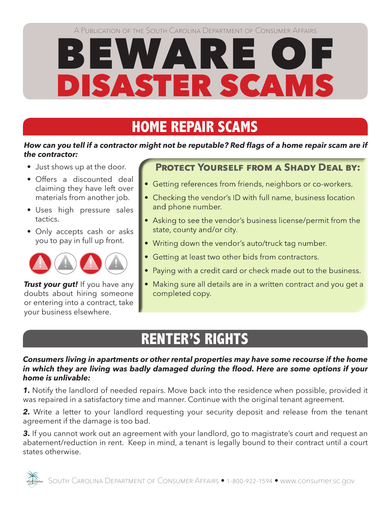# BEWARE OF DISASTER SCAMS

### **HOME REPAIR SCAMS**

#### *How can you tell if a contractor might not be reputable? Red flags of a home repair scam are if the contractor:*

- Just shows up at the door.
- Offers a discounted deal claiming they have left over materials from another job.
- Uses high pressure sales tactics.
- Only accepts cash or asks you to pay in full up front.



*Trust your gut!* If you have any doubts about hiring someone or entering into a contract, take your business elsewhere.

### **Protect Yourself from a Shady Deal by:**

- Getting references from friends, neighbors or co-workers.
- Checking the vendor's ID with full name, business location and phone number.
- Asking to see the vendor's business license/permit from the state, county and/or city.
- Writing down the vendor's auto/truck tag number.
- Getting at least two other bids from contractors.
- Paying with a credit card or check made out to the business.
- Making sure all details are in a written contract and you get a completed copy.

## **RENTER'S RIGHTS**

#### *Consumers living in apartments or other rental properties may have some recourse if the home in which they are living was badly damaged during the flood. Here are some options if your home is unlivable:*

*1.* Notify the landlord of needed repairs. Move back into the residence when possible, provided it was repaired in a satisfactory time and manner. Continue with the original tenant agreement.

2. Write a letter to your landlord requesting your security deposit and release from the tenant agreement if the damage is too bad.

**3.** If you cannot work out an agreement with your landlord, go to magistrate's court and request an abatement/reduction in rent. Keep in mind, a tenant is legally bound to their contract until a court states otherwise.